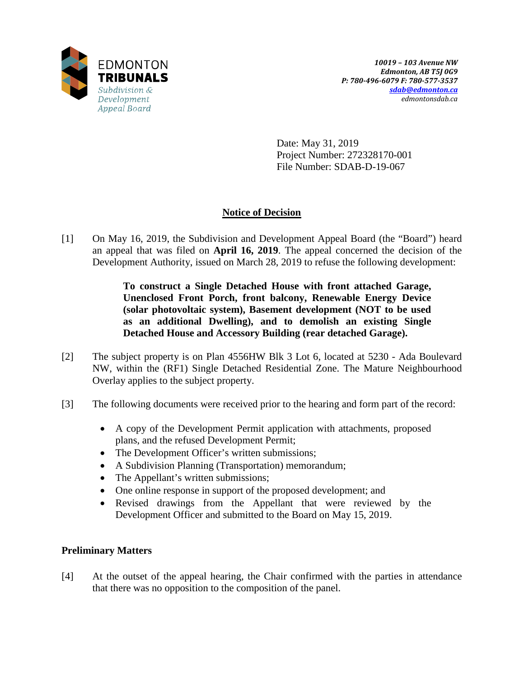

Date: May 31, 2019 Project Number: 272328170-001 File Number: SDAB-D-19-067

## **Notice of Decision**

[1] On May 16, 2019, the Subdivision and Development Appeal Board (the "Board") heard an appeal that was filed on **April 16, 2019**. The appeal concerned the decision of the Development Authority, issued on March 28, 2019 to refuse the following development:

> **To construct a Single Detached House with front attached Garage, Unenclosed Front Porch, front balcony, Renewable Energy Device (solar photovoltaic system), Basement development (NOT to be used as an additional Dwelling), and to demolish an existing Single Detached House and Accessory Building (rear detached Garage).**

- [2] The subject property is on Plan 4556HW Blk 3 Lot 6, located at 5230 Ada Boulevard NW, within the (RF1) Single Detached Residential Zone. The Mature Neighbourhood Overlay applies to the subject property.
- [3] The following documents were received prior to the hearing and form part of the record:
	- A copy of the Development Permit application with attachments, proposed plans, and the refused Development Permit;
	- The Development Officer's written submissions;
	- A Subdivision Planning (Transportation) memorandum;
	- The Appellant's written submissions;
	- One online response in support of the proposed development; and
	- Revised drawings from the Appellant that were reviewed by the Development Officer and submitted to the Board on May 15, 2019.

## **Preliminary Matters**

[4] At the outset of the appeal hearing, the Chair confirmed with the parties in attendance that there was no opposition to the composition of the panel.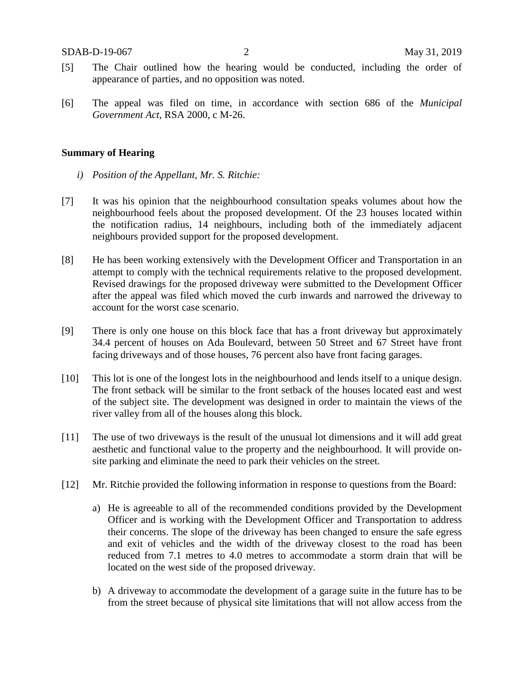- [5] The Chair outlined how the hearing would be conducted, including the order of appearance of parties, and no opposition was noted.
- [6] The appeal was filed on time, in accordance with section 686 of the *Municipal Government Act*, RSA 2000, c M-26.

### **Summary of Hearing**

- *i) Position of the Appellant, Mr. S. Ritchie:*
- [7] It was his opinion that the neighbourhood consultation speaks volumes about how the neighbourhood feels about the proposed development. Of the 23 houses located within the notification radius, 14 neighbours, including both of the immediately adjacent neighbours provided support for the proposed development.
- [8] He has been working extensively with the Development Officer and Transportation in an attempt to comply with the technical requirements relative to the proposed development. Revised drawings for the proposed driveway were submitted to the Development Officer after the appeal was filed which moved the curb inwards and narrowed the driveway to account for the worst case scenario.
- [9] There is only one house on this block face that has a front driveway but approximately 34.4 percent of houses on Ada Boulevard, between 50 Street and 67 Street have front facing driveways and of those houses, 76 percent also have front facing garages.
- [10] This lot is one of the longest lots in the neighbourhood and lends itself to a unique design. The front setback will be similar to the front setback of the houses located east and west of the subject site. The development was designed in order to maintain the views of the river valley from all of the houses along this block.
- [11] The use of two driveways is the result of the unusual lot dimensions and it will add great aesthetic and functional value to the property and the neighbourhood. It will provide onsite parking and eliminate the need to park their vehicles on the street.
- [12] Mr. Ritchie provided the following information in response to questions from the Board:
	- a) He is agreeable to all of the recommended conditions provided by the Development Officer and is working with the Development Officer and Transportation to address their concerns. The slope of the driveway has been changed to ensure the safe egress and exit of vehicles and the width of the driveway closest to the road has been reduced from 7.1 metres to 4.0 metres to accommodate a storm drain that will be located on the west side of the proposed driveway.
	- b) A driveway to accommodate the development of a garage suite in the future has to be from the street because of physical site limitations that will not allow access from the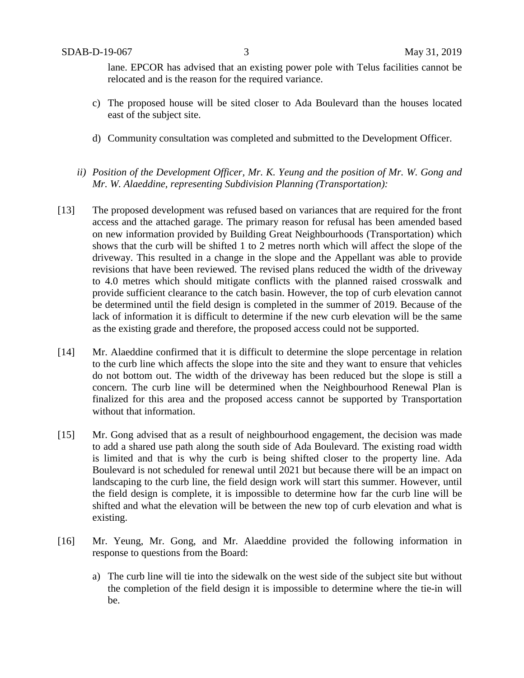lane. EPCOR has advised that an existing power pole with Telus facilities cannot be relocated and is the reason for the required variance.

- c) The proposed house will be sited closer to Ada Boulevard than the houses located east of the subject site.
- d) Community consultation was completed and submitted to the Development Officer.
- *ii) Position of the Development Officer, Mr. K. Yeung and the position of Mr. W. Gong and Mr. W. Alaeddine, representing Subdivision Planning (Transportation):*
- [13] The proposed development was refused based on variances that are required for the front access and the attached garage. The primary reason for refusal has been amended based on new information provided by Building Great Neighbourhoods (Transportation) which shows that the curb will be shifted 1 to 2 metres north which will affect the slope of the driveway. This resulted in a change in the slope and the Appellant was able to provide revisions that have been reviewed. The revised plans reduced the width of the driveway to 4.0 metres which should mitigate conflicts with the planned raised crosswalk and provide sufficient clearance to the catch basin. However, the top of curb elevation cannot be determined until the field design is completed in the summer of 2019. Because of the lack of information it is difficult to determine if the new curb elevation will be the same as the existing grade and therefore, the proposed access could not be supported.
- [14] Mr. Alaeddine confirmed that it is difficult to determine the slope percentage in relation to the curb line which affects the slope into the site and they want to ensure that vehicles do not bottom out. The width of the driveway has been reduced but the slope is still a concern. The curb line will be determined when the Neighbourhood Renewal Plan is finalized for this area and the proposed access cannot be supported by Transportation without that information.
- [15] Mr. Gong advised that as a result of neighbourhood engagement, the decision was made to add a shared use path along the south side of Ada Boulevard. The existing road width is limited and that is why the curb is being shifted closer to the property line. Ada Boulevard is not scheduled for renewal until 2021 but because there will be an impact on landscaping to the curb line, the field design work will start this summer. However, until the field design is complete, it is impossible to determine how far the curb line will be shifted and what the elevation will be between the new top of curb elevation and what is existing.
- [16] Mr. Yeung, Mr. Gong, and Mr. Alaeddine provided the following information in response to questions from the Board:
	- a) The curb line will tie into the sidewalk on the west side of the subject site but without the completion of the field design it is impossible to determine where the tie-in will be.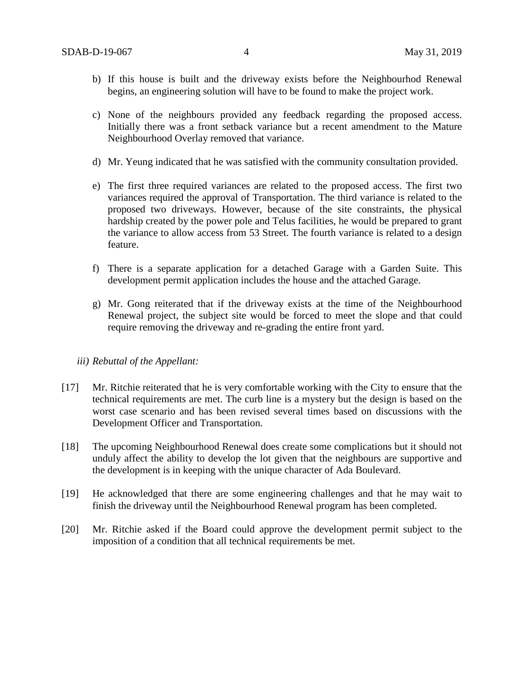- b) If this house is built and the driveway exists before the Neighbourhod Renewal begins, an engineering solution will have to be found to make the project work.
- c) None of the neighbours provided any feedback regarding the proposed access. Initially there was a front setback variance but a recent amendment to the Mature Neighbourhood Overlay removed that variance.
- d) Mr. Yeung indicated that he was satisfied with the community consultation provided.
- e) The first three required variances are related to the proposed access. The first two variances required the approval of Transportation. The third variance is related to the proposed two driveways. However, because of the site constraints, the physical hardship created by the power pole and Telus facilities, he would be prepared to grant the variance to allow access from 53 Street. The fourth variance is related to a design feature.
- f) There is a separate application for a detached Garage with a Garden Suite. This development permit application includes the house and the attached Garage.
- g) Mr. Gong reiterated that if the driveway exists at the time of the Neighbourhood Renewal project, the subject site would be forced to meet the slope and that could require removing the driveway and re-grading the entire front yard.

#### *iii) Rebuttal of the Appellant:*

- [17] Mr. Ritchie reiterated that he is very comfortable working with the City to ensure that the technical requirements are met. The curb line is a mystery but the design is based on the worst case scenario and has been revised several times based on discussions with the Development Officer and Transportation.
- [18] The upcoming Neighbourhood Renewal does create some complications but it should not unduly affect the ability to develop the lot given that the neighbours are supportive and the development is in keeping with the unique character of Ada Boulevard.
- [19] He acknowledged that there are some engineering challenges and that he may wait to finish the driveway until the Neighbourhood Renewal program has been completed.
- [20] Mr. Ritchie asked if the Board could approve the development permit subject to the imposition of a condition that all technical requirements be met.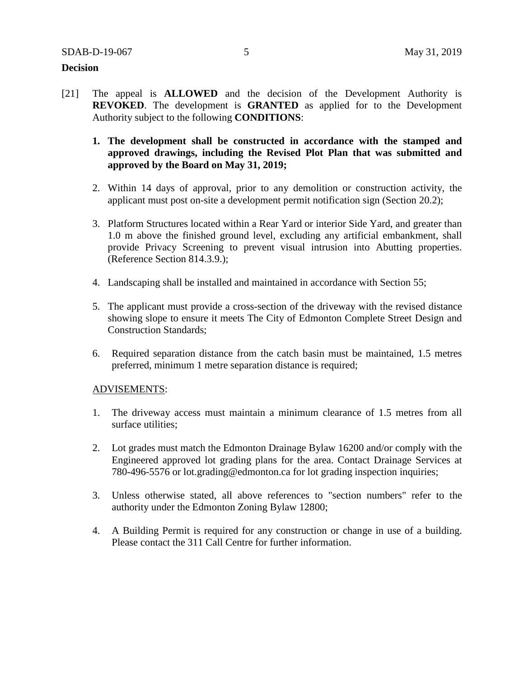### **Decision**

- [21] The appeal is **ALLOWED** and the decision of the Development Authority is **REVOKED**. The development is **GRANTED** as applied for to the Development Authority subject to the following **CONDITIONS**:
	- **1. The development shall be constructed in accordance with the stamped and approved drawings, including the Revised Plot Plan that was submitted and approved by the Board on May 31, 2019;**
	- 2. Within 14 days of approval, prior to any demolition or construction activity, the applicant must post on-site a development permit notification sign (Section 20.2);
	- 3. Platform Structures located within a Rear Yard or interior Side Yard, and greater than 1.0 m above the finished ground level, excluding any artificial embankment, shall provide Privacy Screening to prevent visual intrusion into Abutting properties. (Reference Section 814.3.9.);
	- 4. Landscaping shall be installed and maintained in accordance with Section 55;
	- 5. The applicant must provide a cross-section of the driveway with the revised distance showing slope to ensure it meets The City of Edmonton Complete Street Design and Construction Standards;
	- 6. Required separation distance from the catch basin must be maintained, 1.5 metres preferred, minimum 1 metre separation distance is required;

### ADVISEMENTS:

- 1. The driveway access must maintain a minimum clearance of 1.5 metres from all surface utilities;
- 2. Lot grades must match the Edmonton Drainage Bylaw 16200 and/or comply with the Engineered approved lot grading plans for the area. Contact Drainage Services at 780-496-5576 or lot.grading@edmonton.ca for lot grading inspection inquiries;
- 3. Unless otherwise stated, all above references to "section numbers" refer to the authority under the Edmonton Zoning Bylaw 12800;
- 4. A Building Permit is required for any construction or change in use of a building. Please contact the 311 Call Centre for further information.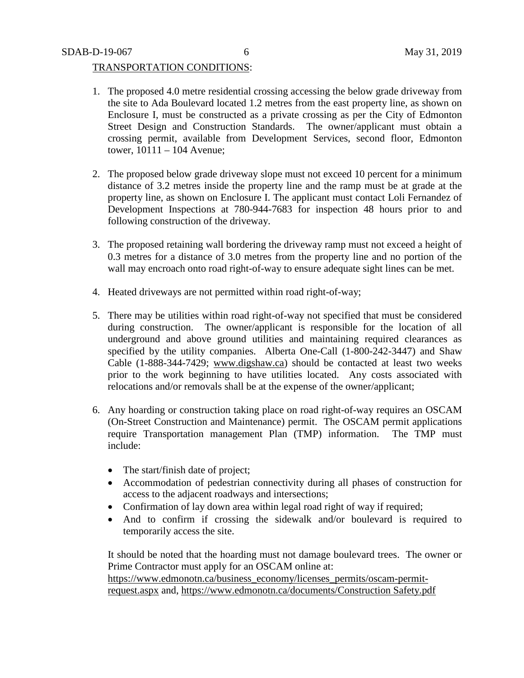### TRANSPORTATION CONDITIONS:

- 1. The proposed 4.0 metre residential crossing accessing the below grade driveway from the site to Ada Boulevard located 1.2 metres from the east property line, as shown on Enclosure I, must be constructed as a private crossing as per the City of Edmonton Street Design and Construction Standards. The owner/applicant must obtain a crossing permit, available from Development Services, second floor, Edmonton tower, 10111 – 104 Avenue;
- 2. The proposed below grade driveway slope must not exceed 10 percent for a minimum distance of 3.2 metres inside the property line and the ramp must be at grade at the property line, as shown on Enclosure I. The applicant must contact Loli Fernandez of Development Inspections at 780-944-7683 for inspection 48 hours prior to and following construction of the driveway.
- 3. The proposed retaining wall bordering the driveway ramp must not exceed a height of 0.3 metres for a distance of 3.0 metres from the property line and no portion of the wall may encroach onto road right-of-way to ensure adequate sight lines can be met.
- 4. Heated driveways are not permitted within road right-of-way;
- 5. There may be utilities within road right-of-way not specified that must be considered during construction. The owner/applicant is responsible for the location of all underground and above ground utilities and maintaining required clearances as specified by the utility companies. Alberta One-Call (1-800-242-3447) and Shaw Cable (1-888-344-7429; [www.digshaw.ca\)](http://www.digshaw.ca/) should be contacted at least two weeks prior to the work beginning to have utilities located. Any costs associated with relocations and/or removals shall be at the expense of the owner/applicant;
- 6. Any hoarding or construction taking place on road right-of-way requires an OSCAM (On-Street Construction and Maintenance) permit. The OSCAM permit applications require Transportation management Plan (TMP) information. The TMP must include:
	- The start/finish date of project;
	- Accommodation of pedestrian connectivity during all phases of construction for access to the adjacent roadways and intersections;
	- Confirmation of lay down area within legal road right of way if required;
	- And to confirm if crossing the sidewalk and/or boulevard is required to temporarily access the site.

It should be noted that the hoarding must not damage boulevard trees. The owner or Prime Contractor must apply for an OSCAM online at:

[https://www.edmonotn.ca/business\\_economy/licenses\\_permits/oscam-permit](https://www.edmonotn.ca/business_economy/licenses_permits/oscam-permit-request.aspx)[request.aspx](https://www.edmonotn.ca/business_economy/licenses_permits/oscam-permit-request.aspx) and, [https://www.edmonotn.ca/documents/Construction Safety.pdf](https://www.edmonotn.ca/documents/Construction%20Safety.pdf)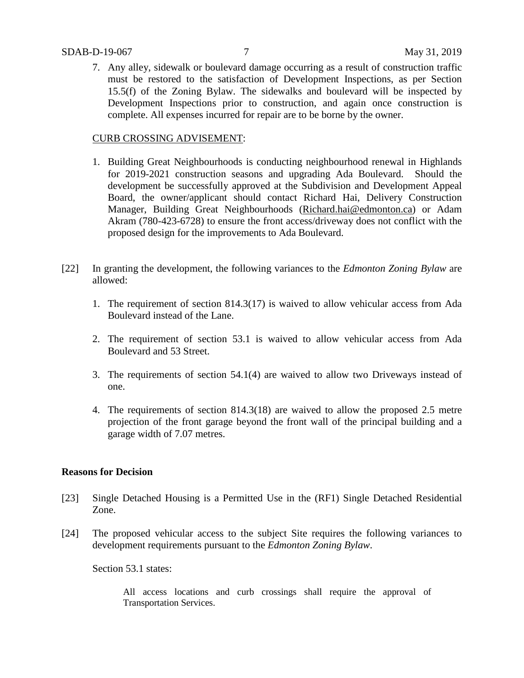7. Any alley, sidewalk or boulevard damage occurring as a result of construction traffic must be restored to the satisfaction of Development Inspections, as per Section 15.5(f) of the Zoning Bylaw. The sidewalks and boulevard will be inspected by Development Inspections prior to construction, and again once construction is complete. All expenses incurred for repair are to be borne by the owner.

### CURB CROSSING ADVISEMENT:

- 1. Building Great Neighbourhoods is conducting neighbourhood renewal in Highlands for 2019-2021 construction seasons and upgrading Ada Boulevard. Should the development be successfully approved at the Subdivision and Development Appeal Board, the owner/applicant should contact Richard Hai, Delivery Construction Manager, Building Great Neighbourhoods [\(Richard.hai@edmonton.ca\)](mailto:Richard.hai@edmonton.ca) or Adam Akram (780-423-6728) to ensure the front access/driveway does not conflict with the proposed design for the improvements to Ada Boulevard.
- [22] In granting the development, the following variances to the *Edmonton Zoning Bylaw* are allowed:
	- 1. The requirement of section 814.3(17) is waived to allow vehicular access from Ada Boulevard instead of the Lane.
	- 2. The requirement of section 53.1 is waived to allow vehicular access from Ada Boulevard and 53 Street.
	- 3. The requirements of section 54.1(4) are waived to allow two Driveways instead of one.
	- 4. The requirements of section 814.3(18) are waived to allow the proposed 2.5 metre projection of the front garage beyond the front wall of the principal building and a garage width of 7.07 metres.

### **Reasons for Decision**

- [23] Single Detached Housing is a Permitted Use in the (RF1) Single Detached Residential Zone.
- [24] The proposed vehicular access to the subject Site requires the following variances to development requirements pursuant to the *Edmonton Zoning Bylaw*.

Section 53.1 states:

All access locations and curb crossings shall require the approval of Transportation Services.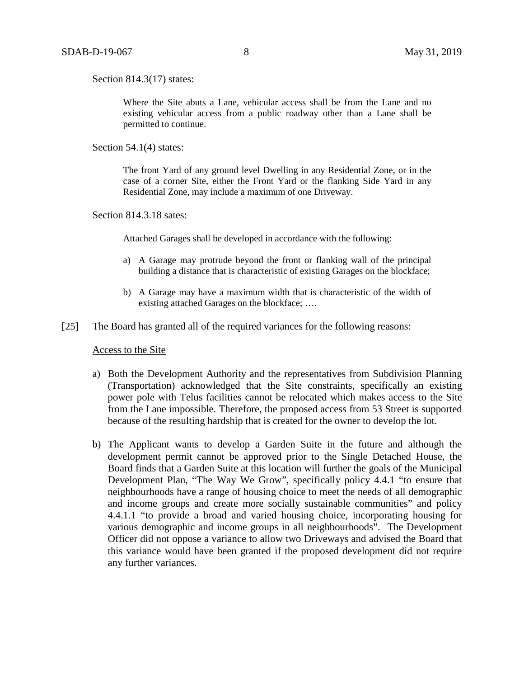Section 814.3(17) states:

Where the Site abuts a Lane, vehicular access shall be from the Lane and no existing vehicular access from a public roadway other than a Lane shall be permitted to continue.

Section 54.1(4) states:

The front Yard of any ground level Dwelling in any Residential Zone, or in the case of a corner Site, either the Front Yard or the flanking Side Yard in any Residential Zone, may include a maximum of one Driveway.

Section 814.3.18 sates:

Attached Garages shall be developed in accordance with the following:

- a) A Garage may protrude beyond the front or flanking wall of the principal building a distance that is characteristic of existing Garages on the blockface;
- b) A Garage may have a maximum width that is characteristic of the width of existing attached Garages on the blockface; ….
- [25] The Board has granted all of the required variances for the following reasons:

#### Access to the Site

- a) Both the Development Authority and the representatives from Subdivision Planning (Transportation) acknowledged that the Site constraints, specifically an existing power pole with Telus facilities cannot be relocated which makes access to the Site from the Lane impossible. Therefore, the proposed access from 53 Street is supported because of the resulting hardship that is created for the owner to develop the lot.
- b) The Applicant wants to develop a Garden Suite in the future and although the development permit cannot be approved prior to the Single Detached House, the Board finds that a Garden Suite at this location will further the goals of the Municipal Development Plan, "The Way We Grow", specifically policy 4.4.1 "to ensure that neighbourhoods have a range of housing choice to meet the needs of all demographic and income groups and create more socially sustainable communities" and policy 4.4.1.1 "to provide a broad and varied housing choice, incorporating housing for various demographic and income groups in all neighbourhoods". The Development Officer did not oppose a variance to allow two Driveways and advised the Board that this variance would have been granted if the proposed development did not require any further variances.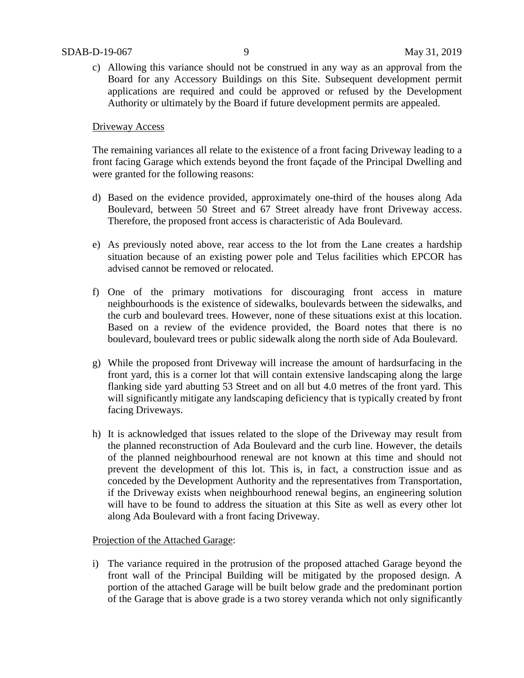c) Allowing this variance should not be construed in any way as an approval from the Board for any Accessory Buildings on this Site. Subsequent development permit applications are required and could be approved or refused by the Development Authority or ultimately by the Board if future development permits are appealed.

### Driveway Access

The remaining variances all relate to the existence of a front facing Driveway leading to a front facing Garage which extends beyond the front façade of the Principal Dwelling and were granted for the following reasons:

- d) Based on the evidence provided, approximately one-third of the houses along Ada Boulevard, between 50 Street and 67 Street already have front Driveway access. Therefore, the proposed front access is characteristic of Ada Boulevard.
- e) As previously noted above, rear access to the lot from the Lane creates a hardship situation because of an existing power pole and Telus facilities which EPCOR has advised cannot be removed or relocated.
- f) One of the primary motivations for discouraging front access in mature neighbourhoods is the existence of sidewalks, boulevards between the sidewalks, and the curb and boulevard trees. However, none of these situations exist at this location. Based on a review of the evidence provided, the Board notes that there is no boulevard, boulevard trees or public sidewalk along the north side of Ada Boulevard.
- g) While the proposed front Driveway will increase the amount of hardsurfacing in the front yard, this is a corner lot that will contain extensive landscaping along the large flanking side yard abutting 53 Street and on all but 4.0 metres of the front yard. This will significantly mitigate any landscaping deficiency that is typically created by front facing Driveways.
- h) It is acknowledged that issues related to the slope of the Driveway may result from the planned reconstruction of Ada Boulevard and the curb line. However, the details of the planned neighbourhood renewal are not known at this time and should not prevent the development of this lot. This is, in fact, a construction issue and as conceded by the Development Authority and the representatives from Transportation, if the Driveway exists when neighbourhood renewal begins, an engineering solution will have to be found to address the situation at this Site as well as every other lot along Ada Boulevard with a front facing Driveway.

### Projection of the Attached Garage:

i) The variance required in the protrusion of the proposed attached Garage beyond the front wall of the Principal Building will be mitigated by the proposed design. A portion of the attached Garage will be built below grade and the predominant portion of the Garage that is above grade is a two storey veranda which not only significantly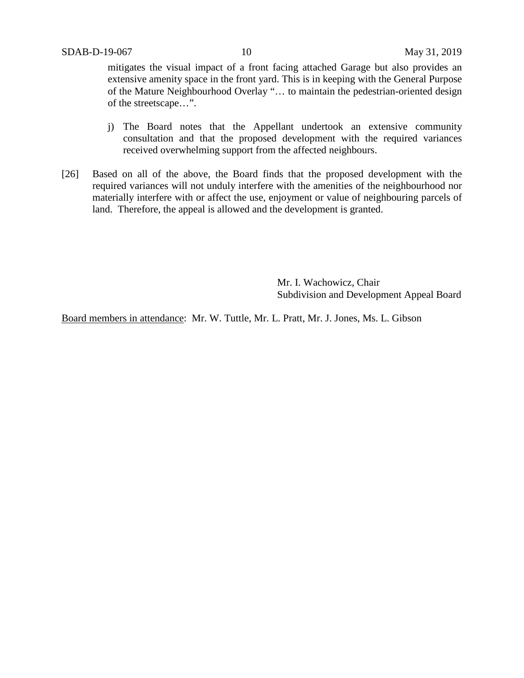mitigates the visual impact of a front facing attached Garage but also provides an extensive amenity space in the front yard. This is in keeping with the General Purpose of the Mature Neighbourhood Overlay "… to maintain the pedestrian-oriented design of the streetscape…".

- j) The Board notes that the Appellant undertook an extensive community consultation and that the proposed development with the required variances received overwhelming support from the affected neighbours.
- [26] Based on all of the above, the Board finds that the proposed development with the required variances will not unduly interfere with the amenities of the neighbourhood nor materially interfere with or affect the use, enjoyment or value of neighbouring parcels of land. Therefore, the appeal is allowed and the development is granted.

Mr. I. Wachowicz, Chair Subdivision and Development Appeal Board

Board members in attendance: Mr. W. Tuttle, Mr. L. Pratt, Mr. J. Jones, Ms. L. Gibson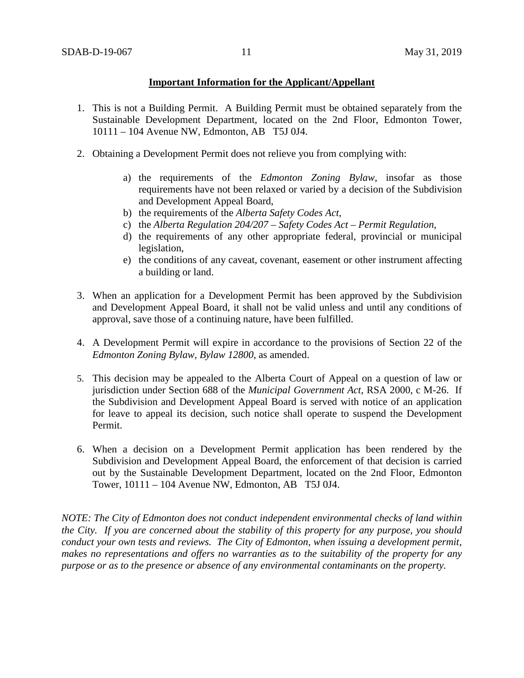## **Important Information for the Applicant/Appellant**

- 1. This is not a Building Permit. A Building Permit must be obtained separately from the Sustainable Development Department, located on the 2nd Floor, Edmonton Tower, 10111 – 104 Avenue NW, Edmonton, AB T5J 0J4.
- 2. Obtaining a Development Permit does not relieve you from complying with:
	- a) the requirements of the *Edmonton Zoning Bylaw*, insofar as those requirements have not been relaxed or varied by a decision of the Subdivision and Development Appeal Board,
	- b) the requirements of the *Alberta Safety Codes Act*,
	- c) the *Alberta Regulation 204/207 – Safety Codes Act – Permit Regulation*,
	- d) the requirements of any other appropriate federal, provincial or municipal legislation,
	- e) the conditions of any caveat, covenant, easement or other instrument affecting a building or land.
- 3. When an application for a Development Permit has been approved by the Subdivision and Development Appeal Board, it shall not be valid unless and until any conditions of approval, save those of a continuing nature, have been fulfilled.
- 4. A Development Permit will expire in accordance to the provisions of Section 22 of the *Edmonton Zoning Bylaw, Bylaw 12800*, as amended.
- 5. This decision may be appealed to the Alberta Court of Appeal on a question of law or jurisdiction under Section 688 of the *Municipal Government Act*, RSA 2000, c M-26. If the Subdivision and Development Appeal Board is served with notice of an application for leave to appeal its decision, such notice shall operate to suspend the Development Permit.
- 6. When a decision on a Development Permit application has been rendered by the Subdivision and Development Appeal Board, the enforcement of that decision is carried out by the Sustainable Development Department, located on the 2nd Floor, Edmonton Tower, 10111 – 104 Avenue NW, Edmonton, AB T5J 0J4.

*NOTE: The City of Edmonton does not conduct independent environmental checks of land within the City. If you are concerned about the stability of this property for any purpose, you should conduct your own tests and reviews. The City of Edmonton, when issuing a development permit, makes no representations and offers no warranties as to the suitability of the property for any purpose or as to the presence or absence of any environmental contaminants on the property.*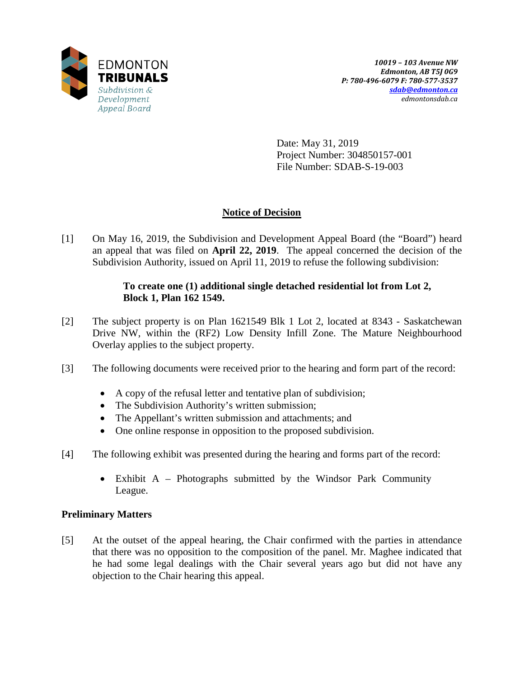

Date: May 31, 2019 Project Number: 304850157-001 File Number: SDAB-S-19-003

## **Notice of Decision**

[1] On May 16, 2019, the Subdivision and Development Appeal Board (the "Board") heard an appeal that was filed on **April 22, 2019**. The appeal concerned the decision of the Subdivision Authority, issued on April 11, 2019 to refuse the following subdivision:

## **To create one (1) additional single detached residential lot from Lot 2, Block 1, Plan 162 1549.**

- [2] The subject property is on Plan 1621549 Blk 1 Lot 2, located at 8343 Saskatchewan Drive NW, within the (RF2) Low Density Infill Zone. The Mature Neighbourhood Overlay applies to the subject property.
- [3] The following documents were received prior to the hearing and form part of the record:
	- A copy of the refusal letter and tentative plan of subdivision;
	- The Subdivision Authority's written submission;
	- The Appellant's written submission and attachments; and
	- One online response in opposition to the proposed subdivision.
- [4] The following exhibit was presented during the hearing and forms part of the record:
	- Exhibit A Photographs submitted by the Windsor Park Community League.

## **Preliminary Matters**

[5] At the outset of the appeal hearing, the Chair confirmed with the parties in attendance that there was no opposition to the composition of the panel. Mr. Maghee indicated that he had some legal dealings with the Chair several years ago but did not have any objection to the Chair hearing this appeal.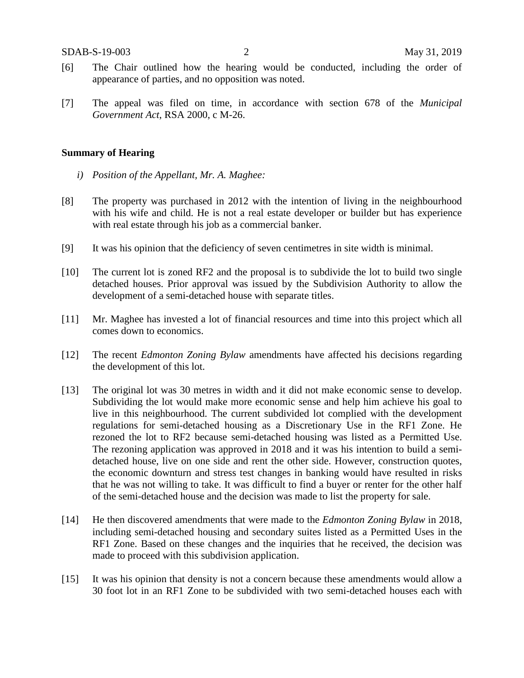- [6] The Chair outlined how the hearing would be conducted, including the order of appearance of parties, and no opposition was noted.
- [7] The appeal was filed on time, in accordance with section 678 of the *Municipal Government Act*, RSA 2000, c M-26.

### **Summary of Hearing**

- *i) Position of the Appellant, Mr. A. Maghee:*
- [8] The property was purchased in 2012 with the intention of living in the neighbourhood with his wife and child. He is not a real estate developer or builder but has experience with real estate through his job as a commercial banker.
- [9] It was his opinion that the deficiency of seven centimetres in site width is minimal.
- [10] The current lot is zoned RF2 and the proposal is to subdivide the lot to build two single detached houses. Prior approval was issued by the Subdivision Authority to allow the development of a semi-detached house with separate titles.
- [11] Mr. Maghee has invested a lot of financial resources and time into this project which all comes down to economics.
- [12] The recent *Edmonton Zoning Bylaw* amendments have affected his decisions regarding the development of this lot.
- [13] The original lot was 30 metres in width and it did not make economic sense to develop. Subdividing the lot would make more economic sense and help him achieve his goal to live in this neighbourhood. The current subdivided lot complied with the development regulations for semi-detached housing as a Discretionary Use in the RF1 Zone. He rezoned the lot to RF2 because semi-detached housing was listed as a Permitted Use. The rezoning application was approved in 2018 and it was his intention to build a semidetached house, live on one side and rent the other side. However, construction quotes, the economic downturn and stress test changes in banking would have resulted in risks that he was not willing to take. It was difficult to find a buyer or renter for the other half of the semi-detached house and the decision was made to list the property for sale.
- [14] He then discovered amendments that were made to the *Edmonton Zoning Bylaw* in 2018, including semi-detached housing and secondary suites listed as a Permitted Uses in the RF1 Zone. Based on these changes and the inquiries that he received, the decision was made to proceed with this subdivision application.
- [15] It was his opinion that density is not a concern because these amendments would allow a 30 foot lot in an RF1 Zone to be subdivided with two semi-detached houses each with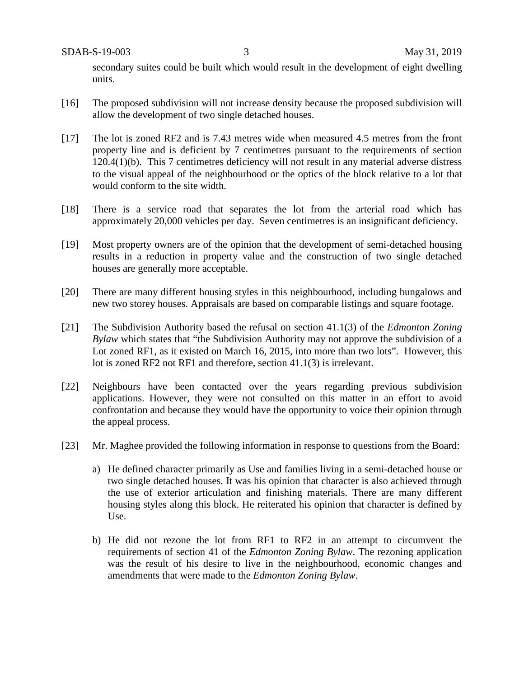secondary suites could be built which would result in the development of eight dwelling units.

- [16] The proposed subdivision will not increase density because the proposed subdivision will allow the development of two single detached houses.
- [17] The lot is zoned RF2 and is 7.43 metres wide when measured 4.5 metres from the front property line and is deficient by 7 centimetres pursuant to the requirements of section 120.4(1)(b). This 7 centimetres deficiency will not result in any material adverse distress to the visual appeal of the neighbourhood or the optics of the block relative to a lot that would conform to the site width.
- [18] There is a service road that separates the lot from the arterial road which has approximately 20,000 vehicles per day. Seven centimetres is an insignificant deficiency.
- [19] Most property owners are of the opinion that the development of semi-detached housing results in a reduction in property value and the construction of two single detached houses are generally more acceptable.
- [20] There are many different housing styles in this neighbourhood, including bungalows and new two storey houses. Appraisals are based on comparable listings and square footage.
- [21] The Subdivision Authority based the refusal on section 41.1(3) of the *Edmonton Zoning Bylaw* which states that "the Subdivision Authority may not approve the subdivision of a Lot zoned RF1, as it existed on March 16, 2015, into more than two lots". However, this lot is zoned RF2 not RF1 and therefore, section 41.1(3) is irrelevant.
- [22] Neighbours have been contacted over the years regarding previous subdivision applications. However, they were not consulted on this matter in an effort to avoid confrontation and because they would have the opportunity to voice their opinion through the appeal process.
- [23] Mr. Maghee provided the following information in response to questions from the Board:
	- a) He defined character primarily as Use and families living in a semi-detached house or two single detached houses. It was his opinion that character is also achieved through the use of exterior articulation and finishing materials. There are many different housing styles along this block. He reiterated his opinion that character is defined by Use.
	- b) He did not rezone the lot from RF1 to RF2 in an attempt to circumvent the requirements of section 41 of the *Edmonton Zoning Bylaw*. The rezoning application was the result of his desire to live in the neighbourhood, economic changes and amendments that were made to the *Edmonton Zoning Bylaw*.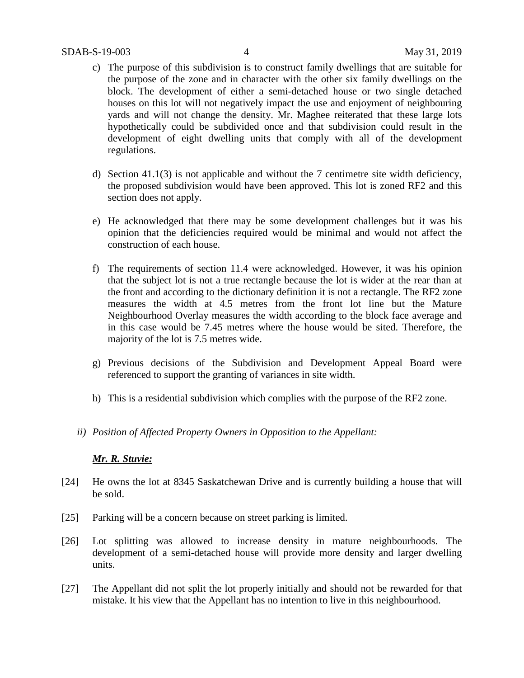- c) The purpose of this subdivision is to construct family dwellings that are suitable for the purpose of the zone and in character with the other six family dwellings on the block. The development of either a semi-detached house or two single detached houses on this lot will not negatively impact the use and enjoyment of neighbouring yards and will not change the density. Mr. Maghee reiterated that these large lots hypothetically could be subdivided once and that subdivision could result in the development of eight dwelling units that comply with all of the development regulations.
- d) Section 41.1(3) is not applicable and without the 7 centimetre site width deficiency, the proposed subdivision would have been approved. This lot is zoned RF2 and this section does not apply.
- e) He acknowledged that there may be some development challenges but it was his opinion that the deficiencies required would be minimal and would not affect the construction of each house.
- f) The requirements of section 11.4 were acknowledged. However, it was his opinion that the subject lot is not a true rectangle because the lot is wider at the rear than at the front and according to the dictionary definition it is not a rectangle. The RF2 zone measures the width at 4.5 metres from the front lot line but the Mature Neighbourhood Overlay measures the width according to the block face average and in this case would be 7.45 metres where the house would be sited. Therefore, the majority of the lot is 7.5 metres wide.
- g) Previous decisions of the Subdivision and Development Appeal Board were referenced to support the granting of variances in site width.
- h) This is a residential subdivision which complies with the purpose of the RF2 zone.
- *ii) Position of Affected Property Owners in Opposition to the Appellant:*

## *Mr. R. Stuvie:*

- [24] He owns the lot at 8345 Saskatchewan Drive and is currently building a house that will be sold.
- [25] Parking will be a concern because on street parking is limited.
- [26] Lot splitting was allowed to increase density in mature neighbourhoods. The development of a semi-detached house will provide more density and larger dwelling units.
- [27] The Appellant did not split the lot properly initially and should not be rewarded for that mistake. It his view that the Appellant has no intention to live in this neighbourhood.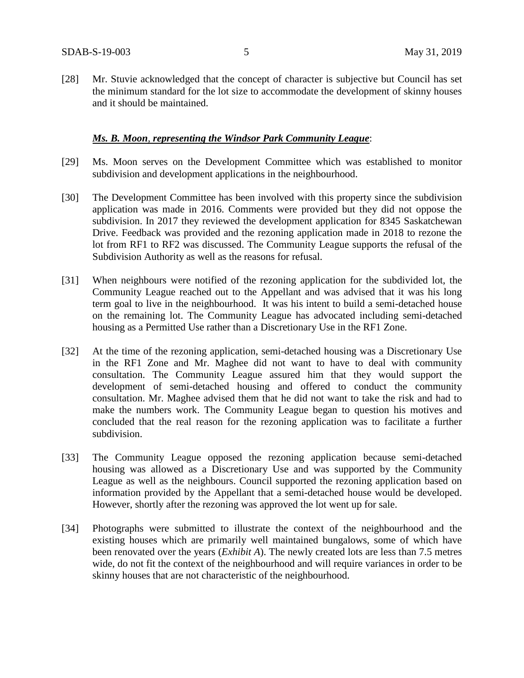[28] Mr. Stuvie acknowledged that the concept of character is subjective but Council has set the minimum standard for the lot size to accommodate the development of skinny houses and it should be maintained.

## *Ms. B. Moon*, *representing the Windsor Park Community League*:

- [29] Ms. Moon serves on the Development Committee which was established to monitor subdivision and development applications in the neighbourhood.
- [30] The Development Committee has been involved with this property since the subdivision application was made in 2016. Comments were provided but they did not oppose the subdivision. In 2017 they reviewed the development application for 8345 Saskatchewan Drive. Feedback was provided and the rezoning application made in 2018 to rezone the lot from RF1 to RF2 was discussed. The Community League supports the refusal of the Subdivision Authority as well as the reasons for refusal.
- [31] When neighbours were notified of the rezoning application for the subdivided lot, the Community League reached out to the Appellant and was advised that it was his long term goal to live in the neighbourhood. It was his intent to build a semi-detached house on the remaining lot. The Community League has advocated including semi-detached housing as a Permitted Use rather than a Discretionary Use in the RF1 Zone.
- [32] At the time of the rezoning application, semi-detached housing was a Discretionary Use in the RF1 Zone and Mr. Maghee did not want to have to deal with community consultation. The Community League assured him that they would support the development of semi-detached housing and offered to conduct the community consultation. Mr. Maghee advised them that he did not want to take the risk and had to make the numbers work. The Community League began to question his motives and concluded that the real reason for the rezoning application was to facilitate a further subdivision.
- [33] The Community League opposed the rezoning application because semi-detached housing was allowed as a Discretionary Use and was supported by the Community League as well as the neighbours. Council supported the rezoning application based on information provided by the Appellant that a semi-detached house would be developed. However, shortly after the rezoning was approved the lot went up for sale.
- [34] Photographs were submitted to illustrate the context of the neighbourhood and the existing houses which are primarily well maintained bungalows, some of which have been renovated over the years (*Exhibit A*). The newly created lots are less than 7.5 metres wide, do not fit the context of the neighbourhood and will require variances in order to be skinny houses that are not characteristic of the neighbourhood.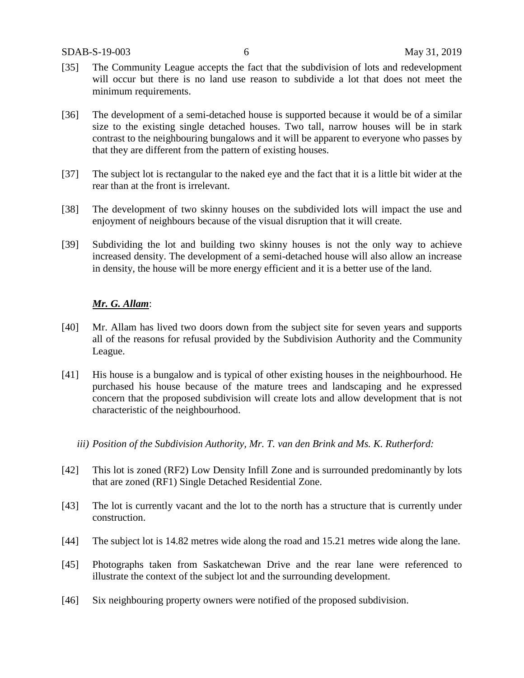- [35] The Community League accepts the fact that the subdivision of lots and redevelopment will occur but there is no land use reason to subdivide a lot that does not meet the minimum requirements.
- [36] The development of a semi-detached house is supported because it would be of a similar size to the existing single detached houses. Two tall, narrow houses will be in stark contrast to the neighbouring bungalows and it will be apparent to everyone who passes by that they are different from the pattern of existing houses.
- [37] The subject lot is rectangular to the naked eye and the fact that it is a little bit wider at the rear than at the front is irrelevant.
- [38] The development of two skinny houses on the subdivided lots will impact the use and enjoyment of neighbours because of the visual disruption that it will create.
- [39] Subdividing the lot and building two skinny houses is not the only way to achieve increased density. The development of a semi-detached house will also allow an increase in density, the house will be more energy efficient and it is a better use of the land.

## *Mr. G. Allam*:

- [40] Mr. Allam has lived two doors down from the subject site for seven years and supports all of the reasons for refusal provided by the Subdivision Authority and the Community League.
- [41] His house is a bungalow and is typical of other existing houses in the neighbourhood. He purchased his house because of the mature trees and landscaping and he expressed concern that the proposed subdivision will create lots and allow development that is not characteristic of the neighbourhood.
	- *iii) Position of the Subdivision Authority, Mr. T. van den Brink and Ms. K. Rutherford:*
- [42] This lot is zoned (RF2) Low Density Infill Zone and is surrounded predominantly by lots that are zoned (RF1) Single Detached Residential Zone.
- [43] The lot is currently vacant and the lot to the north has a structure that is currently under construction.
- [44] The subject lot is 14.82 metres wide along the road and 15.21 metres wide along the lane.
- [45] Photographs taken from Saskatchewan Drive and the rear lane were referenced to illustrate the context of the subject lot and the surrounding development.
- [46] Six neighbouring property owners were notified of the proposed subdivision.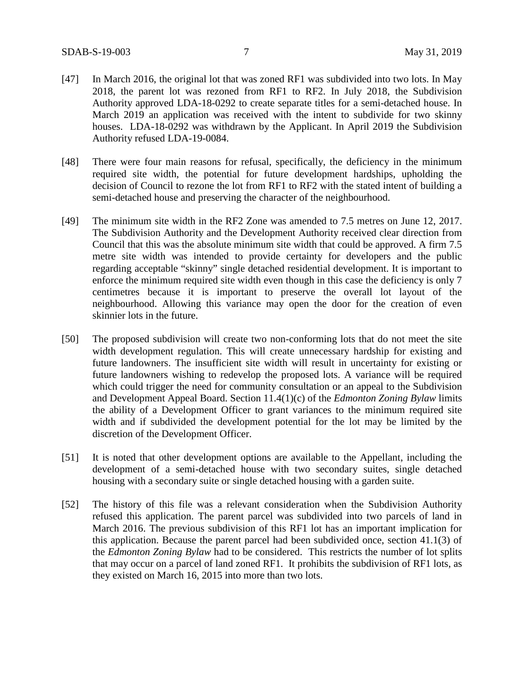- [47] In March 2016, the original lot that was zoned RF1 was subdivided into two lots. In May 2018, the parent lot was rezoned from RF1 to RF2. In July 2018, the Subdivision Authority approved LDA-18-0292 to create separate titles for a semi-detached house. In March 2019 an application was received with the intent to subdivide for two skinny houses. LDA-18-0292 was withdrawn by the Applicant. In April 2019 the Subdivision Authority refused LDA-19-0084.
- [48] There were four main reasons for refusal, specifically, the deficiency in the minimum required site width, the potential for future development hardships, upholding the decision of Council to rezone the lot from RF1 to RF2 with the stated intent of building a semi-detached house and preserving the character of the neighbourhood.
- [49] The minimum site width in the RF2 Zone was amended to 7.5 metres on June 12, 2017. The Subdivision Authority and the Development Authority received clear direction from Council that this was the absolute minimum site width that could be approved. A firm 7.5 metre site width was intended to provide certainty for developers and the public regarding acceptable "skinny" single detached residential development. It is important to enforce the minimum required site width even though in this case the deficiency is only 7 centimetres because it is important to preserve the overall lot layout of the neighbourhood. Allowing this variance may open the door for the creation of even skinnier lots in the future.
- [50] The proposed subdivision will create two non-conforming lots that do not meet the site width development regulation. This will create unnecessary hardship for existing and future landowners. The insufficient site width will result in uncertainty for existing or future landowners wishing to redevelop the proposed lots. A variance will be required which could trigger the need for community consultation or an appeal to the Subdivision and Development Appeal Board. Section 11.4(1)(c) of the *Edmonton Zoning Bylaw* limits the ability of a Development Officer to grant variances to the minimum required site width and if subdivided the development potential for the lot may be limited by the discretion of the Development Officer.
- [51] It is noted that other development options are available to the Appellant, including the development of a semi-detached house with two secondary suites, single detached housing with a secondary suite or single detached housing with a garden suite.
- [52] The history of this file was a relevant consideration when the Subdivision Authority refused this application. The parent parcel was subdivided into two parcels of land in March 2016. The previous subdivision of this RF1 lot has an important implication for this application. Because the parent parcel had been subdivided once, section 41.1(3) of the *Edmonton Zoning Bylaw* had to be considered. This restricts the number of lot splits that may occur on a parcel of land zoned RF1. It prohibits the subdivision of RF1 lots, as they existed on March 16, 2015 into more than two lots.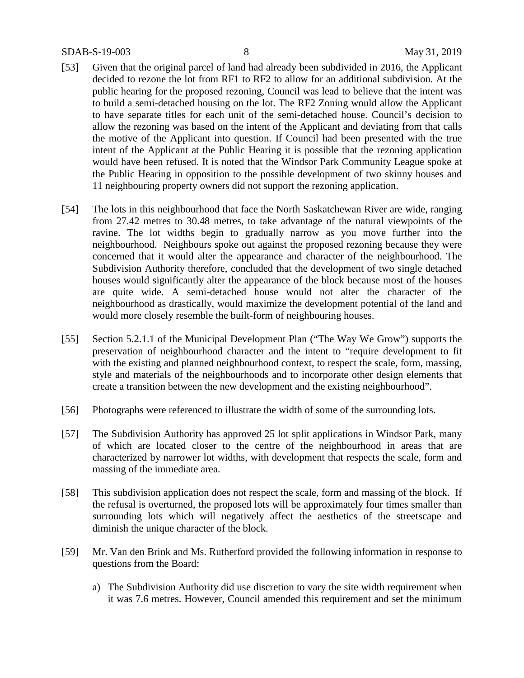### SDAB-S-19-003 8 May 31, 2019

- [53] Given that the original parcel of land had already been subdivided in 2016, the Applicant decided to rezone the lot from RF1 to RF2 to allow for an additional subdivision. At the public hearing for the proposed rezoning, Council was lead to believe that the intent was to build a semi-detached housing on the lot. The RF2 Zoning would allow the Applicant to have separate titles for each unit of the semi-detached house. Council's decision to allow the rezoning was based on the intent of the Applicant and deviating from that calls the motive of the Applicant into question. If Council had been presented with the true intent of the Applicant at the Public Hearing it is possible that the rezoning application would have been refused. It is noted that the Windsor Park Community League spoke at the Public Hearing in opposition to the possible development of two skinny houses and 11 neighbouring property owners did not support the rezoning application.
- [54] The lots in this neighbourhood that face the North Saskatchewan River are wide, ranging from 27.42 metres to 30.48 metres, to take advantage of the natural viewpoints of the ravine. The lot widths begin to gradually narrow as you move further into the neighbourhood. Neighbours spoke out against the proposed rezoning because they were concerned that it would alter the appearance and character of the neighbourhood. The Subdivision Authority therefore, concluded that the development of two single detached houses would significantly alter the appearance of the block because most of the houses are quite wide. A semi-detached house would not alter the character of the neighbourhood as drastically, would maximize the development potential of the land and would more closely resemble the built-form of neighbouring houses.
- [55] Section 5.2.1.1 of the Municipal Development Plan ("The Way We Grow") supports the preservation of neighbourhood character and the intent to "require development to fit with the existing and planned neighbourhood context, to respect the scale, form, massing, style and materials of the neighbourhoods and to incorporate other design elements that create a transition between the new development and the existing neighbourhood".
- [56] Photographs were referenced to illustrate the width of some of the surrounding lots.
- [57] The Subdivision Authority has approved 25 lot split applications in Windsor Park, many of which are located closer to the centre of the neighbourhood in areas that are characterized by narrower lot widths, with development that respects the scale, form and massing of the immediate area.
- [58] This subdivision application does not respect the scale, form and massing of the block. If the refusal is overturned, the proposed lots will be approximately four times smaller than surrounding lots which will negatively affect the aesthetics of the streetscape and diminish the unique character of the block.
- [59] Mr. Van den Brink and Ms. Rutherford provided the following information in response to questions from the Board:
	- a) The Subdivision Authority did use discretion to vary the site width requirement when it was 7.6 metres. However, Council amended this requirement and set the minimum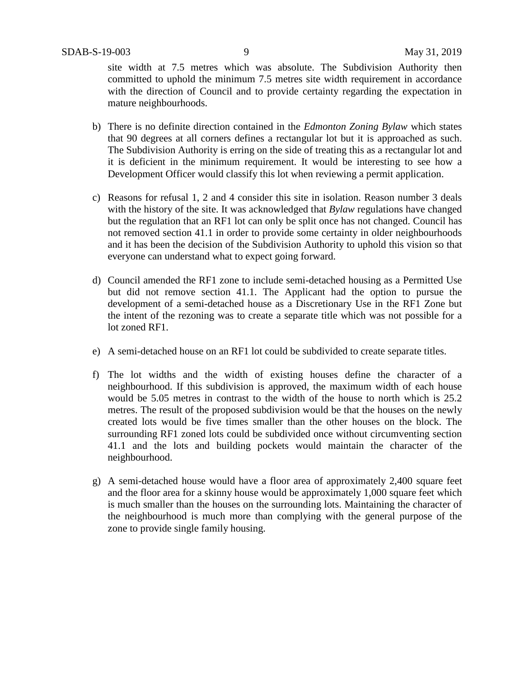site width at 7.5 metres which was absolute. The Subdivision Authority then committed to uphold the minimum 7.5 metres site width requirement in accordance with the direction of Council and to provide certainty regarding the expectation in mature neighbourhoods.

- b) There is no definite direction contained in the *Edmonton Zoning Bylaw* which states that 90 degrees at all corners defines a rectangular lot but it is approached as such. The Subdivision Authority is erring on the side of treating this as a rectangular lot and it is deficient in the minimum requirement. It would be interesting to see how a Development Officer would classify this lot when reviewing a permit application.
- c) Reasons for refusal 1, 2 and 4 consider this site in isolation. Reason number 3 deals with the history of the site. It was acknowledged that *Bylaw* regulations have changed but the regulation that an RF1 lot can only be split once has not changed. Council has not removed section 41.1 in order to provide some certainty in older neighbourhoods and it has been the decision of the Subdivision Authority to uphold this vision so that everyone can understand what to expect going forward.
- d) Council amended the RF1 zone to include semi-detached housing as a Permitted Use but did not remove section 41.1. The Applicant had the option to pursue the development of a semi-detached house as a Discretionary Use in the RF1 Zone but the intent of the rezoning was to create a separate title which was not possible for a lot zoned RF1.
- e) A semi-detached house on an RF1 lot could be subdivided to create separate titles.
- f) The lot widths and the width of existing houses define the character of a neighbourhood. If this subdivision is approved, the maximum width of each house would be 5.05 metres in contrast to the width of the house to north which is 25.2 metres. The result of the proposed subdivision would be that the houses on the newly created lots would be five times smaller than the other houses on the block. The surrounding RF1 zoned lots could be subdivided once without circumventing section 41.1 and the lots and building pockets would maintain the character of the neighbourhood.
- g) A semi-detached house would have a floor area of approximately 2,400 square feet and the floor area for a skinny house would be approximately 1,000 square feet which is much smaller than the houses on the surrounding lots. Maintaining the character of the neighbourhood is much more than complying with the general purpose of the zone to provide single family housing.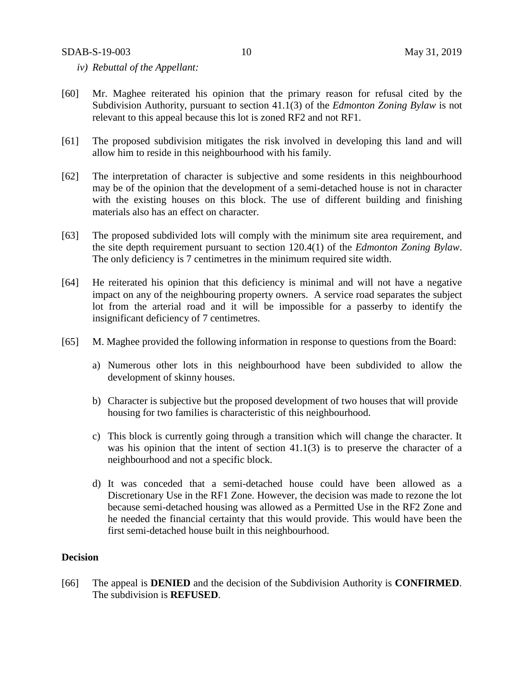- *iv) Rebuttal of the Appellant:*
- [60] Mr. Maghee reiterated his opinion that the primary reason for refusal cited by the Subdivision Authority, pursuant to section 41.1(3) of the *Edmonton Zoning Bylaw* is not relevant to this appeal because this lot is zoned RF2 and not RF1.
- [61] The proposed subdivision mitigates the risk involved in developing this land and will allow him to reside in this neighbourhood with his family.
- [62] The interpretation of character is subjective and some residents in this neighbourhood may be of the opinion that the development of a semi-detached house is not in character with the existing houses on this block. The use of different building and finishing materials also has an effect on character.
- [63] The proposed subdivided lots will comply with the minimum site area requirement, and the site depth requirement pursuant to section 120.4(1) of the *Edmonton Zoning Bylaw*. The only deficiency is 7 centimetres in the minimum required site width.
- [64] He reiterated his opinion that this deficiency is minimal and will not have a negative impact on any of the neighbouring property owners. A service road separates the subject lot from the arterial road and it will be impossible for a passerby to identify the insignificant deficiency of 7 centimetres.
- [65] M. Maghee provided the following information in response to questions from the Board:
	- a) Numerous other lots in this neighbourhood have been subdivided to allow the development of skinny houses.
	- b) Character is subjective but the proposed development of two houses that will provide housing for two families is characteristic of this neighbourhood.
	- c) This block is currently going through a transition which will change the character. It was his opinion that the intent of section 41.1(3) is to preserve the character of a neighbourhood and not a specific block.
	- d) It was conceded that a semi-detached house could have been allowed as a Discretionary Use in the RF1 Zone. However, the decision was made to rezone the lot because semi-detached housing was allowed as a Permitted Use in the RF2 Zone and he needed the financial certainty that this would provide. This would have been the first semi-detached house built in this neighbourhood.

## **Decision**

[66] The appeal is **DENIED** and the decision of the Subdivision Authority is **CONFIRMED**. The subdivision is **REFUSED**.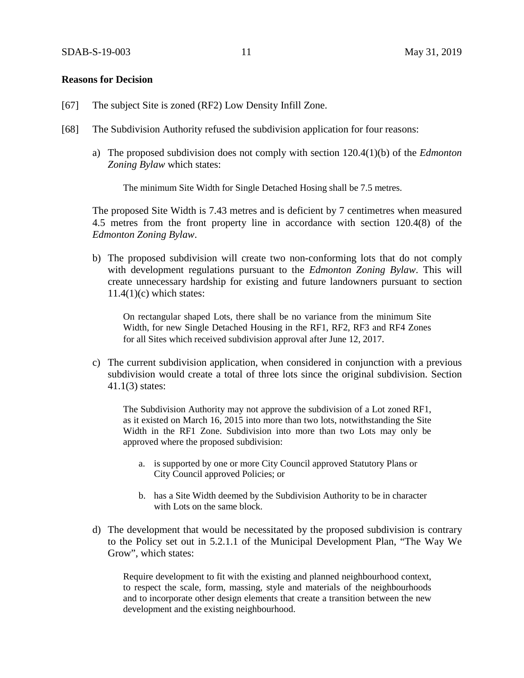### **Reasons for Decision**

- [67] The subject Site is zoned (RF2) Low Density Infill Zone.
- [68] The Subdivision Authority refused the subdivision application for four reasons:
	- a) The proposed subdivision does not comply with section 120.4(1)(b) of the *Edmonton Zoning Bylaw* which states:

The minimum Site Width for Single Detached Hosing shall be 7.5 metres.

The proposed Site Width is 7.43 metres and is deficient by 7 centimetres when measured 4.5 metres from the front property line in accordance with section 120.4(8) of the *Edmonton Zoning Bylaw*.

b) The proposed subdivision will create two non-conforming lots that do not comply with development regulations pursuant to the *Edmonton Zoning Bylaw*. This will create unnecessary hardship for existing and future landowners pursuant to section  $11.4(1)(c)$  which states:

On rectangular shaped Lots, there shall be no variance from the minimum Site Width, for new Single Detached Housing in the RF1, RF2, RF3 and RF4 Zones for all Sites which received subdivision approval after June 12, 2017.

c) The current subdivision application, when considered in conjunction with a previous subdivision would create a total of three lots since the original subdivision. Section 41.1(3) states:

The Subdivision Authority may not approve the subdivision of a Lot zoned RF1, as it existed on March 16, 2015 into more than two lots, notwithstanding the Site Width in the RF1 Zone. Subdivision into more than two Lots may only be approved where the proposed subdivision:

- a. is supported by one or more City Council approved Statutory Plans or City Council approved Policies; or
- b. has a Site Width deemed by the Subdivision Authority to be in character with Lots on the same block.
- d) The development that would be necessitated by the proposed subdivision is contrary to the Policy set out in 5.2.1.1 of the Municipal Development Plan, "The Way We Grow", which states:

Require development to fit with the existing and planned neighbourhood context, to respect the scale, form, massing, style and materials of the neighbourhoods and to incorporate other design elements that create a transition between the new development and the existing neighbourhood.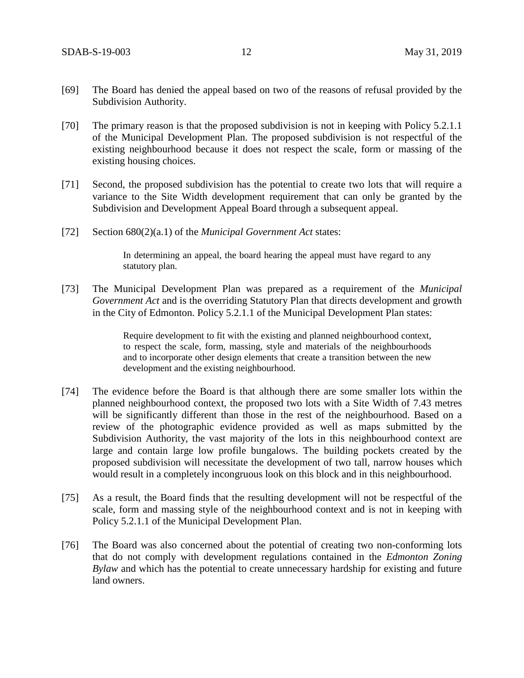- [69] The Board has denied the appeal based on two of the reasons of refusal provided by the Subdivision Authority.
- [70] The primary reason is that the proposed subdivision is not in keeping with Policy 5.2.1.1 of the Municipal Development Plan. The proposed subdivision is not respectful of the existing neighbourhood because it does not respect the scale, form or massing of the existing housing choices.
- [71] Second, the proposed subdivision has the potential to create two lots that will require a variance to the Site Width development requirement that can only be granted by the Subdivision and Development Appeal Board through a subsequent appeal.
- [72] Section 680(2)(a.1) of the *Municipal Government Act* states:

In determining an appeal, the board hearing the appeal must have regard to any statutory plan.

[73] The Municipal Development Plan was prepared as a requirement of the *Municipal Government Act* and is the overriding Statutory Plan that directs development and growth in the City of Edmonton. Policy 5.2.1.1 of the Municipal Development Plan states:

> Require development to fit with the existing and planned neighbourhood context, to respect the scale, form, massing, style and materials of the neighbourhoods and to incorporate other design elements that create a transition between the new development and the existing neighbourhood.

- [74] The evidence before the Board is that although there are some smaller lots within the planned neighbourhood context, the proposed two lots with a Site Width of 7.43 metres will be significantly different than those in the rest of the neighbourhood. Based on a review of the photographic evidence provided as well as maps submitted by the Subdivision Authority, the vast majority of the lots in this neighbourhood context are large and contain large low profile bungalows. The building pockets created by the proposed subdivision will necessitate the development of two tall, narrow houses which would result in a completely incongruous look on this block and in this neighbourhood.
- [75] As a result, the Board finds that the resulting development will not be respectful of the scale, form and massing style of the neighbourhood context and is not in keeping with Policy 5.2.1.1 of the Municipal Development Plan.
- [76] The Board was also concerned about the potential of creating two non-conforming lots that do not comply with development regulations contained in the *Edmonton Zoning Bylaw* and which has the potential to create unnecessary hardship for existing and future land owners.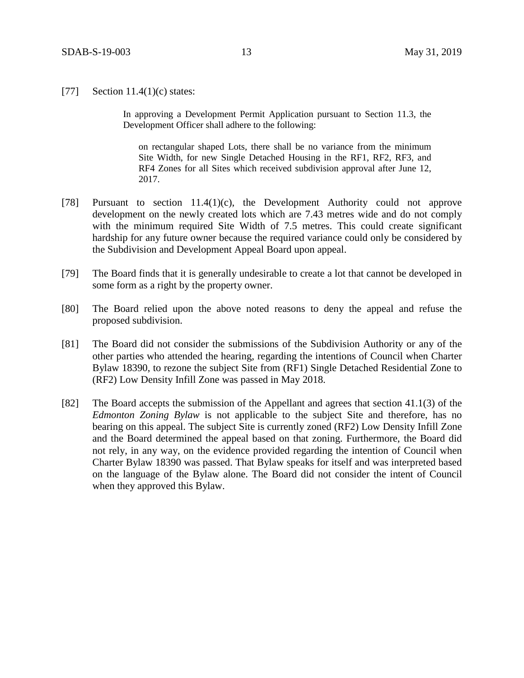[77] Section 11.4(1)(c) states:

In approving a Development Permit Application pursuant to Section 11.3, the Development Officer shall adhere to the following:

on rectangular shaped Lots, there shall be no variance from the minimum Site Width, for new Single Detached Housing in the RF1, RF2, RF3, and RF4 Zones for all Sites which received subdivision approval after June 12, 2017.

- [78] Pursuant to section 11.4(1)(c), the Development Authority could not approve development on the newly created lots which are 7.43 metres wide and do not comply with the minimum required Site Width of 7.5 metres. This could create significant hardship for any future owner because the required variance could only be considered by the Subdivision and Development Appeal Board upon appeal.
- [79] The Board finds that it is generally undesirable to create a lot that cannot be developed in some form as a right by the property owner.
- [80] The Board relied upon the above noted reasons to deny the appeal and refuse the proposed subdivision.
- [81] The Board did not consider the submissions of the Subdivision Authority or any of the other parties who attended the hearing, regarding the intentions of Council when Charter Bylaw 18390, to rezone the subject Site from (RF1) Single Detached Residential Zone to (RF2) Low Density Infill Zone was passed in May 2018.
- [82] The Board accepts the submission of the Appellant and agrees that section 41.1(3) of the *Edmonton Zoning Bylaw* is not applicable to the subject Site and therefore, has no bearing on this appeal. The subject Site is currently zoned (RF2) Low Density Infill Zone and the Board determined the appeal based on that zoning. Furthermore, the Board did not rely, in any way, on the evidence provided regarding the intention of Council when Charter Bylaw 18390 was passed. That Bylaw speaks for itself and was interpreted based on the language of the Bylaw alone. The Board did not consider the intent of Council when they approved this Bylaw.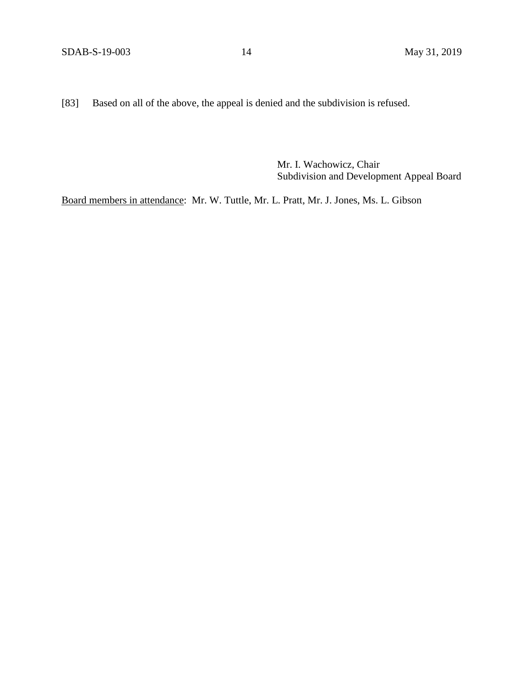[83] Based on all of the above, the appeal is denied and the subdivision is refused.

Mr. I. Wachowicz, Chair Subdivision and Development Appeal Board

Board members in attendance: Mr. W. Tuttle, Mr. L. Pratt, Mr. J. Jones, Ms. L. Gibson